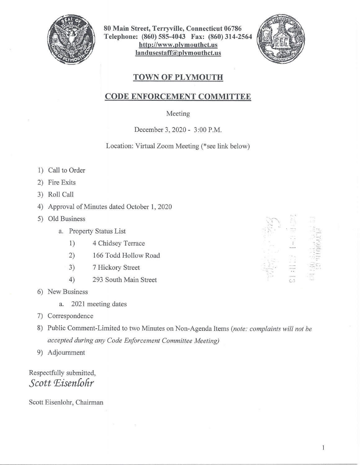

**80 Main Street, Terryville, Connecticut 06786 Telephone: (860) 585-4043 Fax: (860) 314-2564 http://www.plymouthct.us landusestaff@plymouthct.us** 



## **TOWN OF PLYMOUTH**

## **CODE ENFORCEMENT COMMITTEE**

## Meeting

December 3, 2020 - 3:00 P.M.

Location: Virtual Zoom Meeting (\*see link below)

- 1) Call to Order
- 2) Fire Exits
- 3) Roll Call
- 4) Approval of Minutes dated October 1, 2020
- 5) Old Business
	- a. Property Status List
		- 1) 4 Chidsey Terrace
		- 2) 166 Todd Hollow Road
		- 3) 7 Hickory Street
		- 4) 293 South Main Street
- 6) New Business
	- a. 2021 meeting dates
- 7) Correspondence
- 8) Public Comment-Limited to two Minutes on Non-Agenda Items *(note: complaints will not be accepted during any Code Enforcement Committee Meeting)*
- 9) Adjournment

## Respectfully submitted, Scott Eisenlohr

Scott Eisenlohr, Chairman